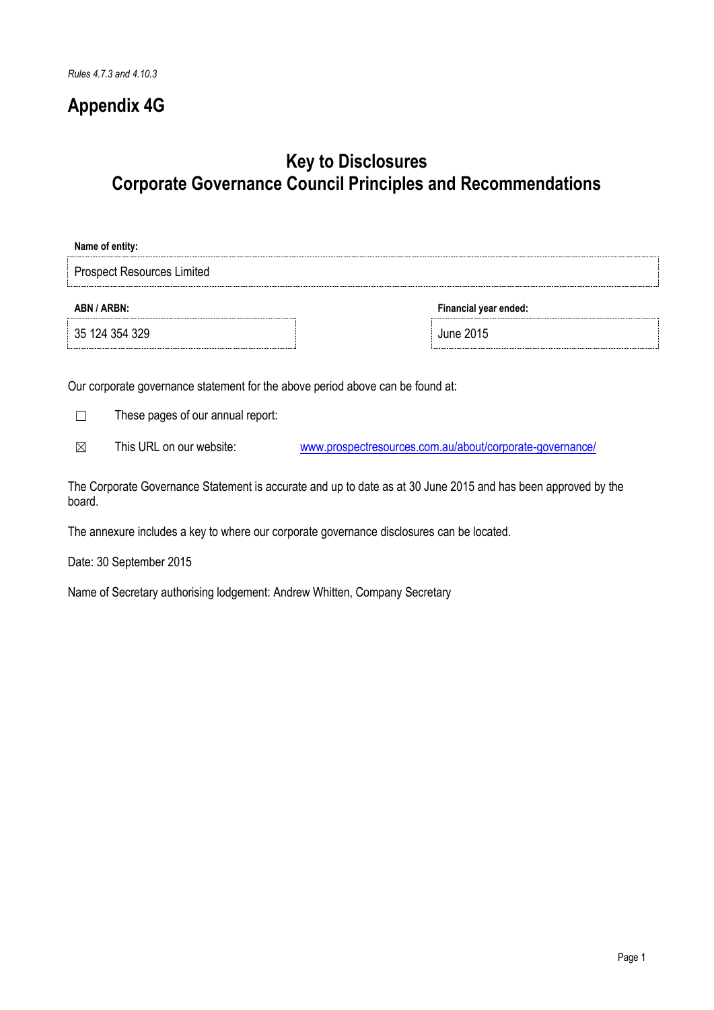## **Appendix 4G**

# **Key to Disclosures Corporate Governance Council Principles and Recommendations**

| Name of entity:                   |                       |  |  |
|-----------------------------------|-----------------------|--|--|
| <b>Prospect Resources Limited</b> |                       |  |  |
| ABN / ARBN:                       | Financial year ended: |  |  |
| 35 124 354 329                    | June 2015             |  |  |

Our corporate governance statement for the above period above can be found at:

☐ These pages of our annual report:

☒ This URL on our website: [www.prospectresources.com.au/about/corporate-governance/](http://www.prospectresources.com.au/about/corporate-governance/)

The Corporate Governance Statement is accurate and up to date as at 30 June 2015 and has been approved by the board.

The annexure includes a key to where our corporate governance disclosures can be located.

Date: 30 September 2015

Name of Secretary authorising lodgement: Andrew Whitten, Company Secretary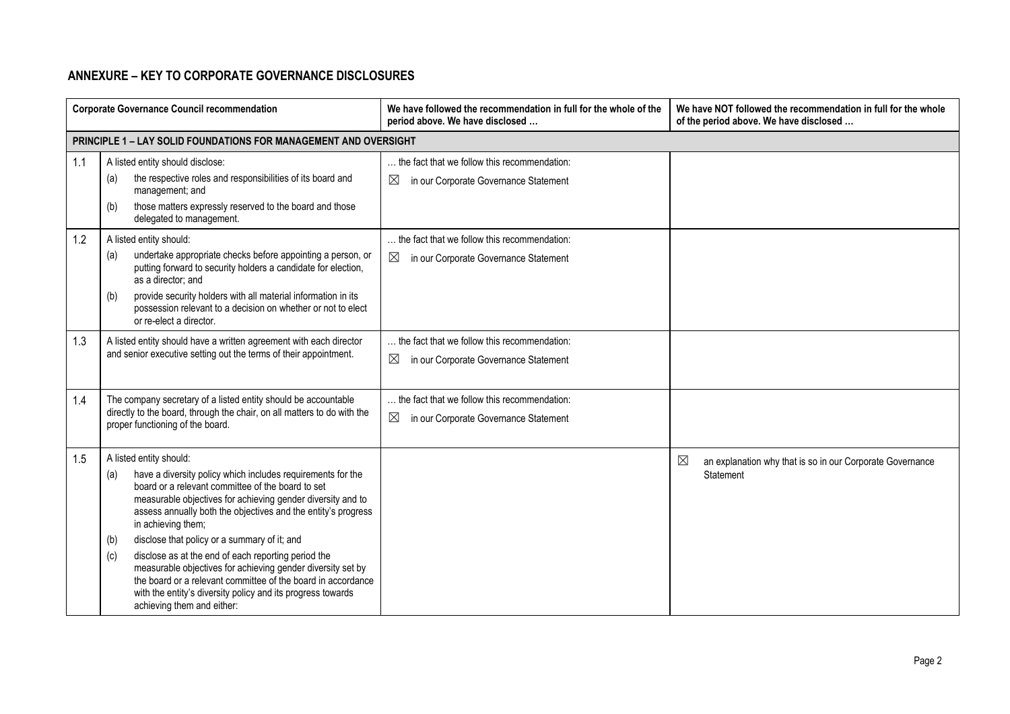### **ANNEXURE – KEY TO CORPORATE GOVERNANCE DISCLOSURES**

|     | <b>Corporate Governance Council recommendation</b>                                                                                                                                                                                                                                                                                                                                                                                                                                                                                                                                                                                                        | We have followed the recommendation in full for the whole of the<br>period above. We have disclosed  | We have NOT followed the recommendation in full for the whole<br>of the period above. We have disclosed |  |  |
|-----|-----------------------------------------------------------------------------------------------------------------------------------------------------------------------------------------------------------------------------------------------------------------------------------------------------------------------------------------------------------------------------------------------------------------------------------------------------------------------------------------------------------------------------------------------------------------------------------------------------------------------------------------------------------|------------------------------------------------------------------------------------------------------|---------------------------------------------------------------------------------------------------------|--|--|
|     | <b>PRINCIPLE 1 - LAY SOLID FOUNDATIONS FOR MANAGEMENT AND OVERSIGHT</b>                                                                                                                                                                                                                                                                                                                                                                                                                                                                                                                                                                                   |                                                                                                      |                                                                                                         |  |  |
| 1.1 | A listed entity should disclose:<br>the respective roles and responsibilities of its board and<br>(a)<br>management; and<br>those matters expressly reserved to the board and those<br>(b)<br>delegated to management.                                                                                                                                                                                                                                                                                                                                                                                                                                    | the fact that we follow this recommendation:<br>$\boxtimes$<br>in our Corporate Governance Statement |                                                                                                         |  |  |
| 1.2 | A listed entity should:<br>undertake appropriate checks before appointing a person, or<br>(a)<br>putting forward to security holders a candidate for election,<br>as a director: and<br>provide security holders with all material information in its<br>(b)<br>possession relevant to a decision on whether or not to elect<br>or re-elect a director.                                                                                                                                                                                                                                                                                                   | the fact that we follow this recommendation:<br>$\boxtimes$<br>in our Corporate Governance Statement |                                                                                                         |  |  |
| 1.3 | A listed entity should have a written agreement with each director<br>and senior executive setting out the terms of their appointment.                                                                                                                                                                                                                                                                                                                                                                                                                                                                                                                    | the fact that we follow this recommendation:<br>$\boxtimes$<br>in our Corporate Governance Statement |                                                                                                         |  |  |
| 1.4 | The company secretary of a listed entity should be accountable<br>directly to the board, through the chair, on all matters to do with the<br>proper functioning of the board.                                                                                                                                                                                                                                                                                                                                                                                                                                                                             | the fact that we follow this recommendation:<br>$\boxtimes$<br>in our Corporate Governance Statement |                                                                                                         |  |  |
| 1.5 | A listed entity should:<br>have a diversity policy which includes requirements for the<br>(a)<br>board or a relevant committee of the board to set<br>measurable objectives for achieving gender diversity and to<br>assess annually both the objectives and the entity's progress<br>in achieving them;<br>disclose that policy or a summary of it; and<br>(b)<br>disclose as at the end of each reporting period the<br>(c)<br>measurable objectives for achieving gender diversity set by<br>the board or a relevant committee of the board in accordance<br>with the entity's diversity policy and its progress towards<br>achieving them and either: |                                                                                                      | $\boxtimes$<br>an explanation why that is so in our Corporate Governance<br>Statement                   |  |  |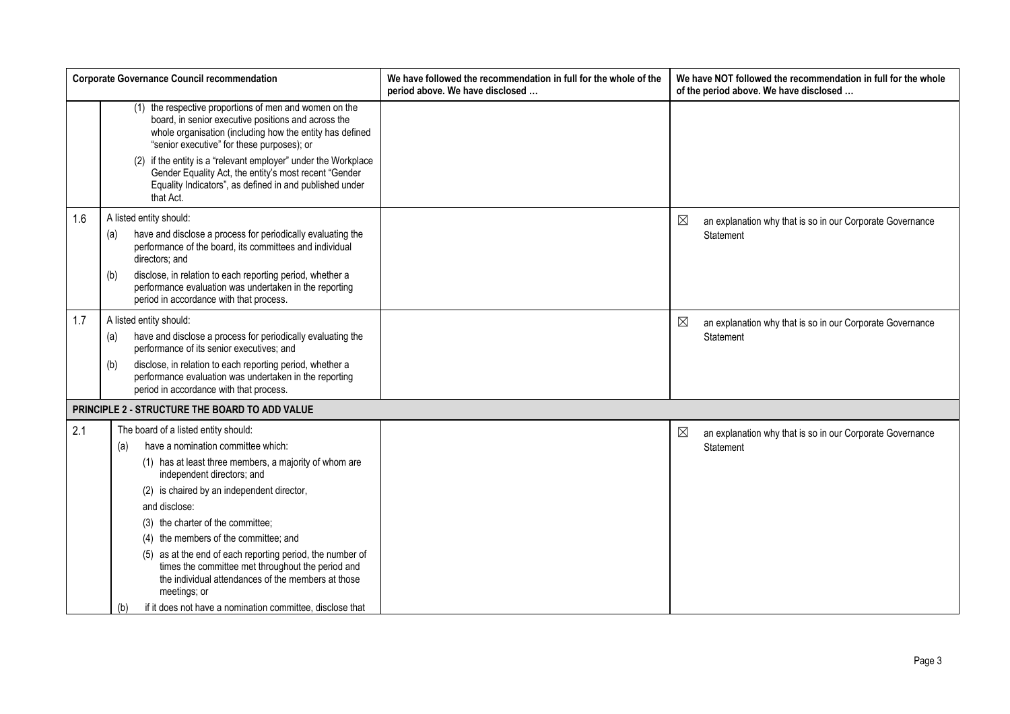|     | <b>Corporate Governance Council recommendation</b>                                                                                                                                                                      | We have followed the recommendation in full for the whole of the<br>period above. We have disclosed | We have NOT followed the recommendation in full for the whole<br>of the period above. We have disclosed |
|-----|-------------------------------------------------------------------------------------------------------------------------------------------------------------------------------------------------------------------------|-----------------------------------------------------------------------------------------------------|---------------------------------------------------------------------------------------------------------|
|     | (1) the respective proportions of men and women on the<br>board, in senior executive positions and across the<br>whole organisation (including how the entity has defined<br>"senior executive" for these purposes); or |                                                                                                     |                                                                                                         |
|     | (2) if the entity is a "relevant employer" under the Workplace<br>Gender Equality Act, the entity's most recent "Gender<br>Equality Indicators", as defined in and published under<br>that Act.                         |                                                                                                     |                                                                                                         |
| 1.6 | A listed entity should:                                                                                                                                                                                                 |                                                                                                     | ⊠<br>an explanation why that is so in our Corporate Governance                                          |
|     | have and disclose a process for periodically evaluating the<br>(a)<br>performance of the board, its committees and individual<br>directors; and                                                                         |                                                                                                     | Statement                                                                                               |
|     | disclose, in relation to each reporting period, whether a<br>(b)<br>performance evaluation was undertaken in the reporting<br>period in accordance with that process.                                                   |                                                                                                     |                                                                                                         |
| 1.7 | A listed entity should:                                                                                                                                                                                                 |                                                                                                     | ⊠<br>an explanation why that is so in our Corporate Governance                                          |
|     | have and disclose a process for periodically evaluating the<br>(a)<br>performance of its senior executives; and                                                                                                         |                                                                                                     | Statement                                                                                               |
|     | disclose, in relation to each reporting period, whether a<br>(b)<br>performance evaluation was undertaken in the reporting<br>period in accordance with that process.                                                   |                                                                                                     |                                                                                                         |
|     | PRINCIPLE 2 - STRUCTURE THE BOARD TO ADD VALUE                                                                                                                                                                          |                                                                                                     |                                                                                                         |
| 2.1 | The board of a listed entity should:                                                                                                                                                                                    |                                                                                                     | ⊠<br>an explanation why that is so in our Corporate Governance                                          |
|     | have a nomination committee which:<br>(a)                                                                                                                                                                               |                                                                                                     | Statement                                                                                               |
|     | (1) has at least three members, a majority of whom are<br>independent directors; and                                                                                                                                    |                                                                                                     |                                                                                                         |
|     | (2) is chaired by an independent director,                                                                                                                                                                              |                                                                                                     |                                                                                                         |
|     | and disclose:                                                                                                                                                                                                           |                                                                                                     |                                                                                                         |
|     | (3) the charter of the committee;                                                                                                                                                                                       |                                                                                                     |                                                                                                         |
|     | (4) the members of the committee; and                                                                                                                                                                                   |                                                                                                     |                                                                                                         |
|     | (5) as at the end of each reporting period, the number of<br>times the committee met throughout the period and<br>the individual attendances of the members at those<br>meetings; or                                    |                                                                                                     |                                                                                                         |
|     | if it does not have a nomination committee, disclose that<br>(b)                                                                                                                                                        |                                                                                                     |                                                                                                         |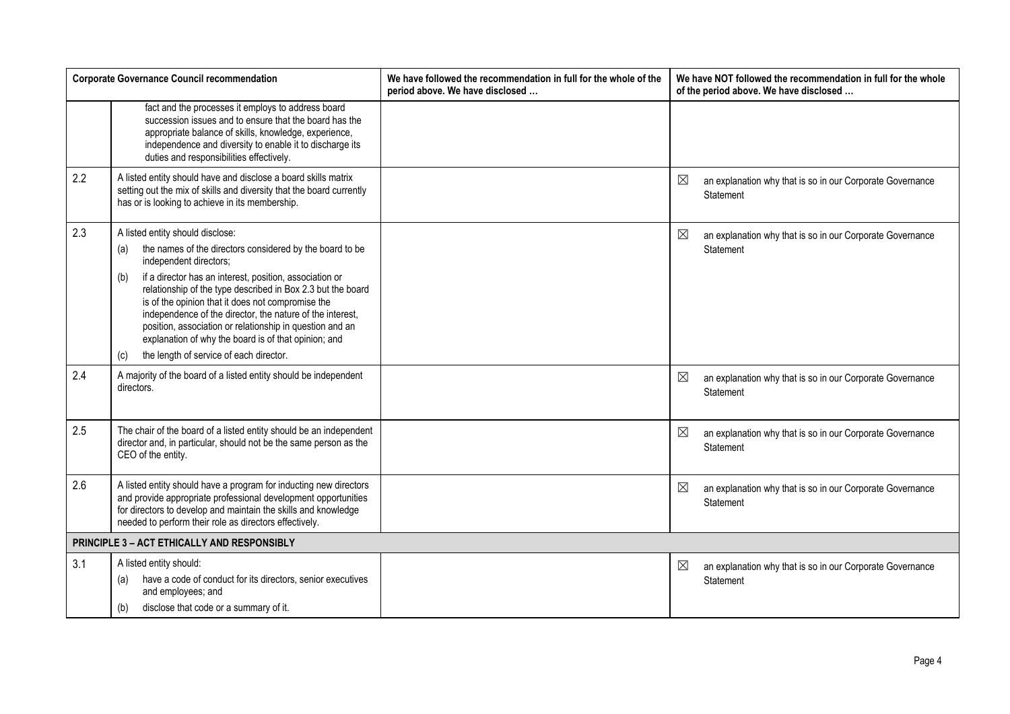|     | <b>Corporate Governance Council recommendation</b>                                                                                                                                                                                                                                                                                                                                                                                                                                                                                                     | We have followed the recommendation in full for the whole of the<br>period above. We have disclosed | We have NOT followed the recommendation in full for the whole<br>of the period above. We have disclosed |
|-----|--------------------------------------------------------------------------------------------------------------------------------------------------------------------------------------------------------------------------------------------------------------------------------------------------------------------------------------------------------------------------------------------------------------------------------------------------------------------------------------------------------------------------------------------------------|-----------------------------------------------------------------------------------------------------|---------------------------------------------------------------------------------------------------------|
|     | fact and the processes it employs to address board<br>succession issues and to ensure that the board has the<br>appropriate balance of skills, knowledge, experience,<br>independence and diversity to enable it to discharge its<br>duties and responsibilities effectively.                                                                                                                                                                                                                                                                          |                                                                                                     |                                                                                                         |
| 2.2 | A listed entity should have and disclose a board skills matrix<br>setting out the mix of skills and diversity that the board currently<br>has or is looking to achieve in its membership.                                                                                                                                                                                                                                                                                                                                                              |                                                                                                     | $\boxtimes$<br>an explanation why that is so in our Corporate Governance<br>Statement                   |
| 2.3 | A listed entity should disclose:<br>the names of the directors considered by the board to be<br>(a)<br>independent directors;<br>if a director has an interest, position, association or<br>(b)<br>relationship of the type described in Box 2.3 but the board<br>is of the opinion that it does not compromise the<br>independence of the director, the nature of the interest,<br>position, association or relationship in question and an<br>explanation of why the board is of that opinion; and<br>the length of service of each director.<br>(c) |                                                                                                     | ⊠<br>an explanation why that is so in our Corporate Governance<br>Statement                             |
| 2.4 | A majority of the board of a listed entity should be independent<br>directors.                                                                                                                                                                                                                                                                                                                                                                                                                                                                         |                                                                                                     | ⊠<br>an explanation why that is so in our Corporate Governance<br>Statement                             |
| 2.5 | The chair of the board of a listed entity should be an independent<br>director and, in particular, should not be the same person as the<br>CEO of the entity.                                                                                                                                                                                                                                                                                                                                                                                          |                                                                                                     | ⊠<br>an explanation why that is so in our Corporate Governance<br>Statement                             |
| 2.6 | A listed entity should have a program for inducting new directors<br>and provide appropriate professional development opportunities<br>for directors to develop and maintain the skills and knowledge<br>needed to perform their role as directors effectively.                                                                                                                                                                                                                                                                                        |                                                                                                     | ⊠<br>an explanation why that is so in our Corporate Governance<br>Statement                             |
|     | PRINCIPLE 3 - ACT ETHICALLY AND RESPONSIBLY                                                                                                                                                                                                                                                                                                                                                                                                                                                                                                            |                                                                                                     |                                                                                                         |
| 3.1 | A listed entity should:<br>have a code of conduct for its directors, senior executives<br>(a)<br>and employees; and<br>disclose that code or a summary of it.<br>(b)                                                                                                                                                                                                                                                                                                                                                                                   |                                                                                                     | ⊠<br>an explanation why that is so in our Corporate Governance<br>Statement                             |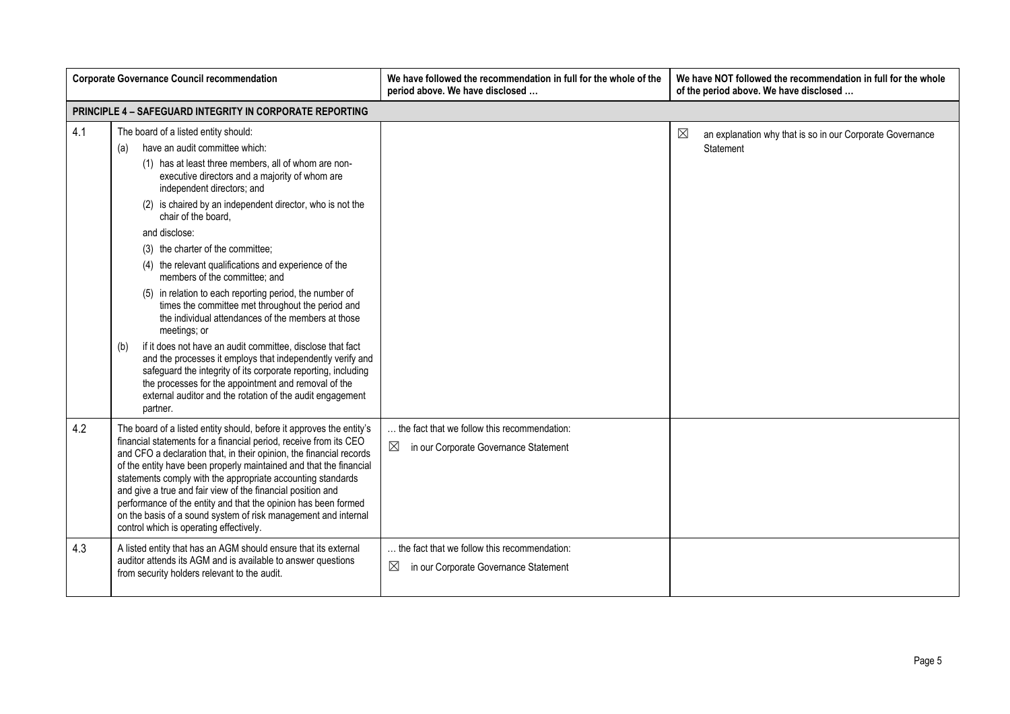|     | <b>Corporate Governance Council recommendation</b>                                                                                                                                                                                                                                                                                                                                                                                                                                                                                                                                                                                                                                                                                                                                                                                                                                                                                                                                   | We have followed the recommendation in full for the whole of the<br>period above. We have disclosed    | We have NOT followed the recommendation in full for the whole<br>of the period above. We have disclosed |
|-----|--------------------------------------------------------------------------------------------------------------------------------------------------------------------------------------------------------------------------------------------------------------------------------------------------------------------------------------------------------------------------------------------------------------------------------------------------------------------------------------------------------------------------------------------------------------------------------------------------------------------------------------------------------------------------------------------------------------------------------------------------------------------------------------------------------------------------------------------------------------------------------------------------------------------------------------------------------------------------------------|--------------------------------------------------------------------------------------------------------|---------------------------------------------------------------------------------------------------------|
|     | <b>PRINCIPLE 4 - SAFEGUARD INTEGRITY IN CORPORATE REPORTING</b>                                                                                                                                                                                                                                                                                                                                                                                                                                                                                                                                                                                                                                                                                                                                                                                                                                                                                                                      |                                                                                                        |                                                                                                         |
| 4.1 | The board of a listed entity should:<br>have an audit committee which:<br>(a)<br>(1) has at least three members, all of whom are non-<br>executive directors and a majority of whom are<br>independent directors; and<br>(2) is chaired by an independent director, who is not the<br>chair of the board.<br>and disclose:<br>(3) the charter of the committee;<br>(4) the relevant qualifications and experience of the<br>members of the committee; and<br>(5) in relation to each reporting period, the number of<br>times the committee met throughout the period and<br>the individual attendances of the members at those<br>meetings; or<br>if it does not have an audit committee, disclose that fact<br>(b)<br>and the processes it employs that independently verify and<br>safeguard the integrity of its corporate reporting, including<br>the processes for the appointment and removal of the<br>external auditor and the rotation of the audit engagement<br>partner. |                                                                                                        | ⊠<br>an explanation why that is so in our Corporate Governance<br>Statement                             |
| 4.2 | The board of a listed entity should, before it approves the entity's<br>financial statements for a financial period, receive from its CEO<br>and CFO a declaration that, in their opinion, the financial records<br>of the entity have been properly maintained and that the financial<br>statements comply with the appropriate accounting standards<br>and give a true and fair view of the financial position and<br>performance of the entity and that the opinion has been formed<br>on the basis of a sound system of risk management and internal<br>control which is operating effectively.                                                                                                                                                                                                                                                                                                                                                                                  | the fact that we follow this recommendation:<br>$\boxtimes$<br>in our Corporate Governance Statement   |                                                                                                         |
| 4.3 | A listed entity that has an AGM should ensure that its external<br>auditor attends its AGM and is available to answer questions<br>from security holders relevant to the audit.                                                                                                                                                                                                                                                                                                                                                                                                                                                                                                                                                                                                                                                                                                                                                                                                      | . the fact that we follow this recommendation:<br>$\boxtimes$<br>in our Corporate Governance Statement |                                                                                                         |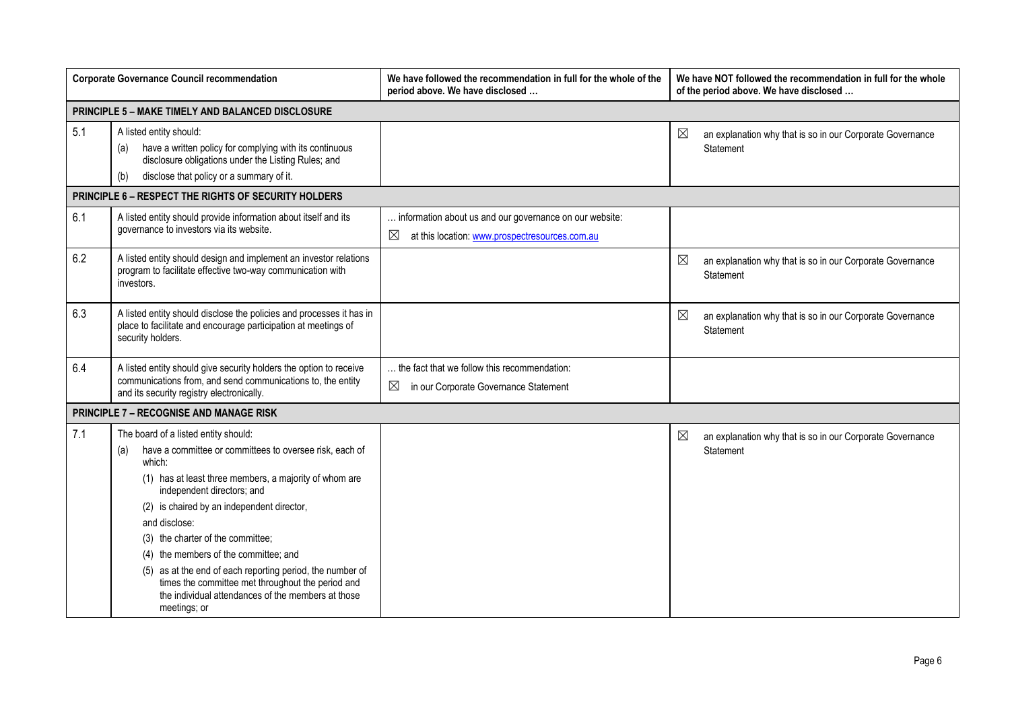|     | <b>Corporate Governance Council recommendation</b>                                                                                                                                                                                                                                                                                                                                                                                                                                                                                            | We have followed the recommendation in full for the whole of the<br>period above. We have disclosed            | We have NOT followed the recommendation in full for the whole<br>of the period above. We have disclosed |  |  |  |
|-----|-----------------------------------------------------------------------------------------------------------------------------------------------------------------------------------------------------------------------------------------------------------------------------------------------------------------------------------------------------------------------------------------------------------------------------------------------------------------------------------------------------------------------------------------------|----------------------------------------------------------------------------------------------------------------|---------------------------------------------------------------------------------------------------------|--|--|--|
|     | <b>PRINCIPLE 5 - MAKE TIMELY AND BALANCED DISCLOSURE</b>                                                                                                                                                                                                                                                                                                                                                                                                                                                                                      |                                                                                                                |                                                                                                         |  |  |  |
| 5.1 | A listed entity should:<br>have a written policy for complying with its continuous<br>(a)<br>disclosure obligations under the Listing Rules; and<br>disclose that policy or a summary of it.<br>(b)                                                                                                                                                                                                                                                                                                                                           |                                                                                                                | $\boxtimes$<br>an explanation why that is so in our Corporate Governance<br>Statement                   |  |  |  |
|     | PRINCIPLE 6 - RESPECT THE RIGHTS OF SECURITY HOLDERS                                                                                                                                                                                                                                                                                                                                                                                                                                                                                          |                                                                                                                |                                                                                                         |  |  |  |
| 6.1 | A listed entity should provide information about itself and its<br>governance to investors via its website.                                                                                                                                                                                                                                                                                                                                                                                                                                   | information about us and our governance on our website:<br>⊠<br>at this location: www.prospectresources.com.au |                                                                                                         |  |  |  |
| 6.2 | A listed entity should design and implement an investor relations<br>program to facilitate effective two-way communication with<br>investors.                                                                                                                                                                                                                                                                                                                                                                                                 |                                                                                                                | ⊠<br>an explanation why that is so in our Corporate Governance<br>Statement                             |  |  |  |
| 6.3 | A listed entity should disclose the policies and processes it has in<br>place to facilitate and encourage participation at meetings of<br>security holders.                                                                                                                                                                                                                                                                                                                                                                                   |                                                                                                                | $\boxtimes$<br>an explanation why that is so in our Corporate Governance<br>Statement                   |  |  |  |
| 6.4 | A listed entity should give security holders the option to receive<br>communications from, and send communications to, the entity<br>and its security registry electronically.                                                                                                                                                                                                                                                                                                                                                                | the fact that we follow this recommendation:<br>⊠<br>in our Corporate Governance Statement                     |                                                                                                         |  |  |  |
|     | <b>PRINCIPLE 7 - RECOGNISE AND MANAGE RISK</b>                                                                                                                                                                                                                                                                                                                                                                                                                                                                                                |                                                                                                                |                                                                                                         |  |  |  |
| 7.1 | The board of a listed entity should:<br>have a committee or committees to oversee risk, each of<br>(a)<br>which:<br>(1) has at least three members, a majority of whom are<br>independent directors; and<br>(2) is chaired by an independent director,<br>and disclose:<br>(3) the charter of the committee;<br>(4) the members of the committee; and<br>(5) as at the end of each reporting period, the number of<br>times the committee met throughout the period and<br>the individual attendances of the members at those<br>meetings; or |                                                                                                                | $\boxtimes$<br>an explanation why that is so in our Corporate Governance<br>Statement                   |  |  |  |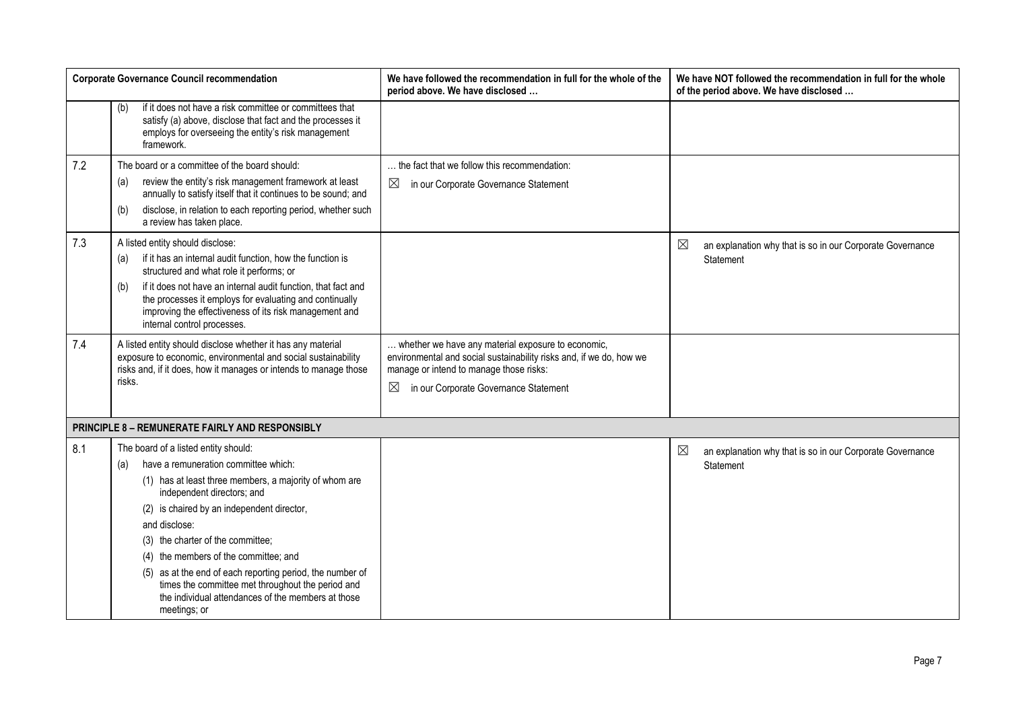|     | <b>Corporate Governance Council recommendation</b>                                                                                                                                                                       | We have followed the recommendation in full for the whole of the<br>period above. We have disclosed                                                                  | We have NOT followed the recommendation in full for the whole<br>of the period above. We have disclosed |
|-----|--------------------------------------------------------------------------------------------------------------------------------------------------------------------------------------------------------------------------|----------------------------------------------------------------------------------------------------------------------------------------------------------------------|---------------------------------------------------------------------------------------------------------|
|     | if it does not have a risk committee or committees that<br>(b)<br>satisfy (a) above, disclose that fact and the processes it<br>employs for overseeing the entity's risk management<br>framework.                        |                                                                                                                                                                      |                                                                                                         |
| 7.2 | The board or a committee of the board should:                                                                                                                                                                            | the fact that we follow this recommendation:                                                                                                                         |                                                                                                         |
|     | review the entity's risk management framework at least<br>(a)<br>annually to satisfy itself that it continues to be sound; and                                                                                           | ⊠<br>in our Corporate Governance Statement                                                                                                                           |                                                                                                         |
|     | disclose, in relation to each reporting period, whether such<br>(b)<br>a review has taken place.                                                                                                                         |                                                                                                                                                                      |                                                                                                         |
| 7.3 | A listed entity should disclose:                                                                                                                                                                                         |                                                                                                                                                                      | $\boxtimes$<br>an explanation why that is so in our Corporate Governance                                |
|     | if it has an internal audit function, how the function is<br>(a)<br>structured and what role it performs; or                                                                                                             |                                                                                                                                                                      | Statement                                                                                               |
|     | if it does not have an internal audit function, that fact and<br>(b)<br>the processes it employs for evaluating and continually<br>improving the effectiveness of its risk management and<br>internal control processes. |                                                                                                                                                                      |                                                                                                         |
| 7.4 | A listed entity should disclose whether it has any material<br>exposure to economic, environmental and social sustainability<br>risks and, if it does, how it manages or intends to manage those                         | whether we have any material exposure to economic,<br>environmental and social sustainability risks and, if we do, how we<br>manage or intend to manage those risks: |                                                                                                         |
|     | risks.                                                                                                                                                                                                                   | ⊠<br>in our Corporate Governance Statement                                                                                                                           |                                                                                                         |
|     | PRINCIPLE 8 - REMUNERATE FAIRLY AND RESPONSIBLY                                                                                                                                                                          |                                                                                                                                                                      |                                                                                                         |
| 8.1 | The board of a listed entity should:                                                                                                                                                                                     |                                                                                                                                                                      | $\boxtimes$<br>an explanation why that is so in our Corporate Governance                                |
|     | have a remuneration committee which:<br>(a)                                                                                                                                                                              |                                                                                                                                                                      | Statement                                                                                               |
|     | (1) has at least three members, a majority of whom are<br>independent directors; and                                                                                                                                     |                                                                                                                                                                      |                                                                                                         |
|     | (2) is chaired by an independent director,                                                                                                                                                                               |                                                                                                                                                                      |                                                                                                         |
|     | and disclose:                                                                                                                                                                                                            |                                                                                                                                                                      |                                                                                                         |
|     | (3) the charter of the committee;                                                                                                                                                                                        |                                                                                                                                                                      |                                                                                                         |
|     | (4) the members of the committee; and                                                                                                                                                                                    |                                                                                                                                                                      |                                                                                                         |
|     | (5) as at the end of each reporting period, the number of<br>times the committee met throughout the period and<br>the individual attendances of the members at those<br>meetings; or                                     |                                                                                                                                                                      |                                                                                                         |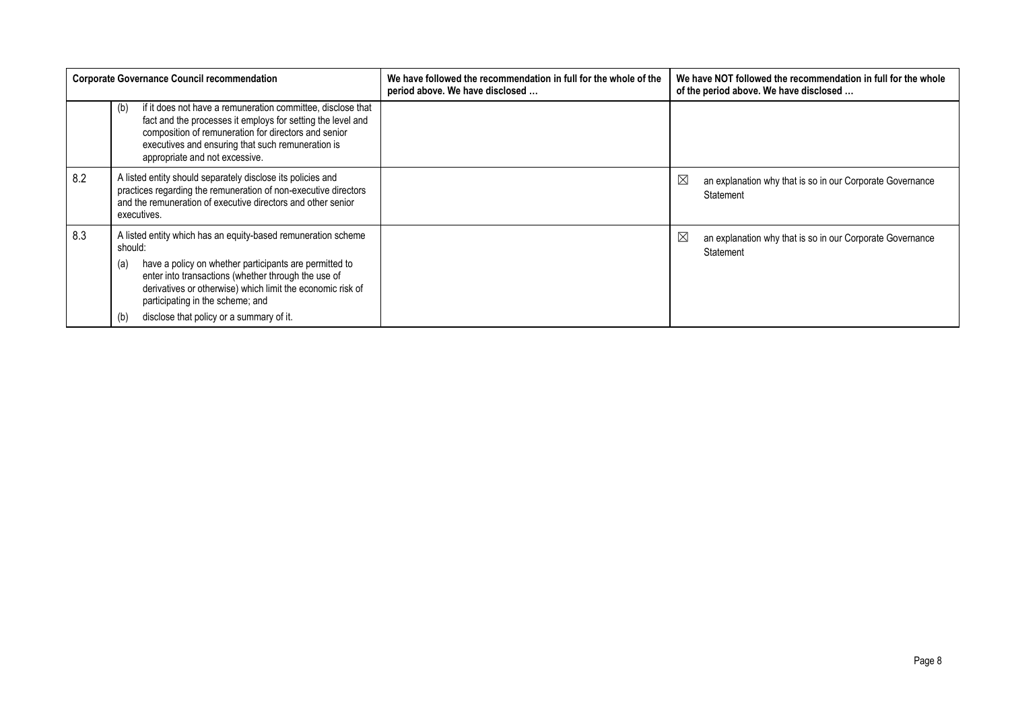|     | <b>Corporate Governance Council recommendation</b>                                                                                                                                                                                                                                                                                                    | We have followed the recommendation in full for the whole of the<br>period above. We have disclosed | We have NOT followed the recommendation in full for the whole<br>of the period above. We have disclosed |
|-----|-------------------------------------------------------------------------------------------------------------------------------------------------------------------------------------------------------------------------------------------------------------------------------------------------------------------------------------------------------|-----------------------------------------------------------------------------------------------------|---------------------------------------------------------------------------------------------------------|
|     | if it does not have a remuneration committee, disclose that<br>(b)<br>fact and the processes it employs for setting the level and<br>composition of remuneration for directors and senior<br>executives and ensuring that such remuneration is<br>appropriate and not excessive.                                                                      |                                                                                                     |                                                                                                         |
| 8.2 | A listed entity should separately disclose its policies and<br>practices regarding the remuneration of non-executive directors<br>and the remuneration of executive directors and other senior<br>executives.                                                                                                                                         |                                                                                                     | ⊠<br>an explanation why that is so in our Corporate Governance<br>Statement                             |
| 8.3 | A listed entity which has an equity-based remuneration scheme<br>should:<br>have a policy on whether participants are permitted to<br>(a)<br>enter into transactions (whether through the use of<br>derivatives or otherwise) which limit the economic risk of<br>participating in the scheme; and<br>disclose that policy or a summary of it.<br>(b) |                                                                                                     | ⊠<br>an explanation why that is so in our Corporate Governance<br>Statement                             |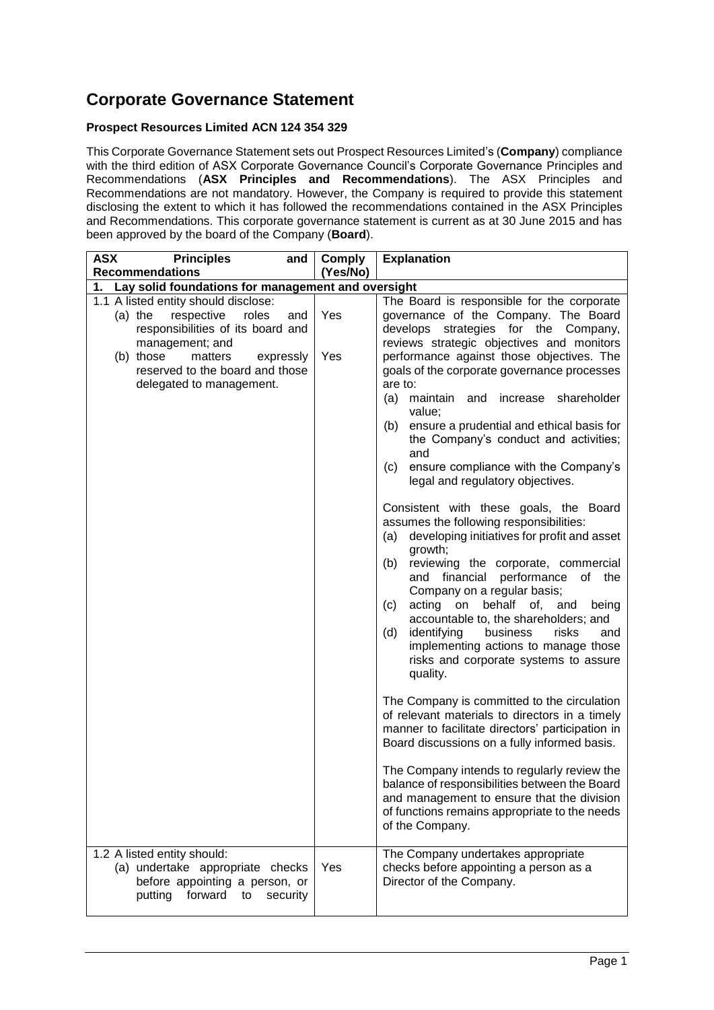### **Corporate Governance Statement**

#### **Prospect Resources Limited ACN 124 354 329**

This Corporate Governance Statement sets out Prospect Resources Limited's (**Company**) compliance with the third edition of ASX Corporate Governance Council's Corporate Governance Principles and Recommendations (**ASX Principles and Recommendations**). The ASX Principles and Recommendations are not mandatory. However, the Company is required to provide this statement disclosing the extent to which it has followed the recommendations contained in the ASX Principles and Recommendations. This corporate governance statement is current as at 30 June 2015 and has been approved by the board of the Company (**Board**).

| <b>ASX</b><br><b>Principles</b><br>and                                                                                                                                                                                                      | Comply     | <b>Explanation</b>                                                                                                                                                                                                                                                                                                                                                                                                                                                                                                                                                                                                                                                                                                                                                                                                                                                                                                                                                                                                                              |
|---------------------------------------------------------------------------------------------------------------------------------------------------------------------------------------------------------------------------------------------|------------|-------------------------------------------------------------------------------------------------------------------------------------------------------------------------------------------------------------------------------------------------------------------------------------------------------------------------------------------------------------------------------------------------------------------------------------------------------------------------------------------------------------------------------------------------------------------------------------------------------------------------------------------------------------------------------------------------------------------------------------------------------------------------------------------------------------------------------------------------------------------------------------------------------------------------------------------------------------------------------------------------------------------------------------------------|
| <b>Recommendations</b>                                                                                                                                                                                                                      | (Yes/No)   |                                                                                                                                                                                                                                                                                                                                                                                                                                                                                                                                                                                                                                                                                                                                                                                                                                                                                                                                                                                                                                                 |
| Lay solid foundations for management and oversight<br>1.                                                                                                                                                                                    |            |                                                                                                                                                                                                                                                                                                                                                                                                                                                                                                                                                                                                                                                                                                                                                                                                                                                                                                                                                                                                                                                 |
| 1.1 A listed entity should disclose:<br>$(a)$ the<br>respective<br>roles<br>and<br>responsibilities of its board and<br>management; and<br>(b) those<br>matters<br>expressly<br>reserved to the board and those<br>delegated to management. | Yes<br>Yes | The Board is responsible for the corporate<br>governance of the Company. The Board<br>develops strategies for the Company,<br>reviews strategic objectives and monitors<br>performance against those objectives. The<br>goals of the corporate governance processes<br>are to:<br>(a)<br>maintain<br>increase shareholder<br>and<br>value;<br>ensure a prudential and ethical basis for<br>(b)<br>the Company's conduct and activities;<br>and<br>ensure compliance with the Company's<br>(c)<br>legal and regulatory objectives.<br>Consistent with these goals, the Board<br>assumes the following responsibilities:<br>developing initiatives for profit and asset<br>(a)<br>growth;<br>reviewing the corporate, commercial<br>(b)<br>and financial performance of the<br>Company on a regular basis;<br>acting on<br>behalf of, and<br>(c)<br>being<br>accountable to, the shareholders; and<br>risks<br>identifying<br>business<br>(d)<br>and<br>implementing actions to manage those<br>risks and corporate systems to assure<br>quality. |
|                                                                                                                                                                                                                                             |            | The Company is committed to the circulation<br>of relevant materials to directors in a timely<br>manner to facilitate directors' participation in<br>Board discussions on a fully informed basis.<br>The Company intends to regularly review the<br>balance of responsibilities between the Board<br>and management to ensure that the division<br>of functions remains appropriate to the needs<br>of the Company.                                                                                                                                                                                                                                                                                                                                                                                                                                                                                                                                                                                                                             |
| 1.2 A listed entity should:<br>(a) undertake appropriate checks<br>before appointing a person, or<br>forward<br>putting<br>to<br>security                                                                                                   | Yes        | The Company undertakes appropriate<br>checks before appointing a person as a<br>Director of the Company.                                                                                                                                                                                                                                                                                                                                                                                                                                                                                                                                                                                                                                                                                                                                                                                                                                                                                                                                        |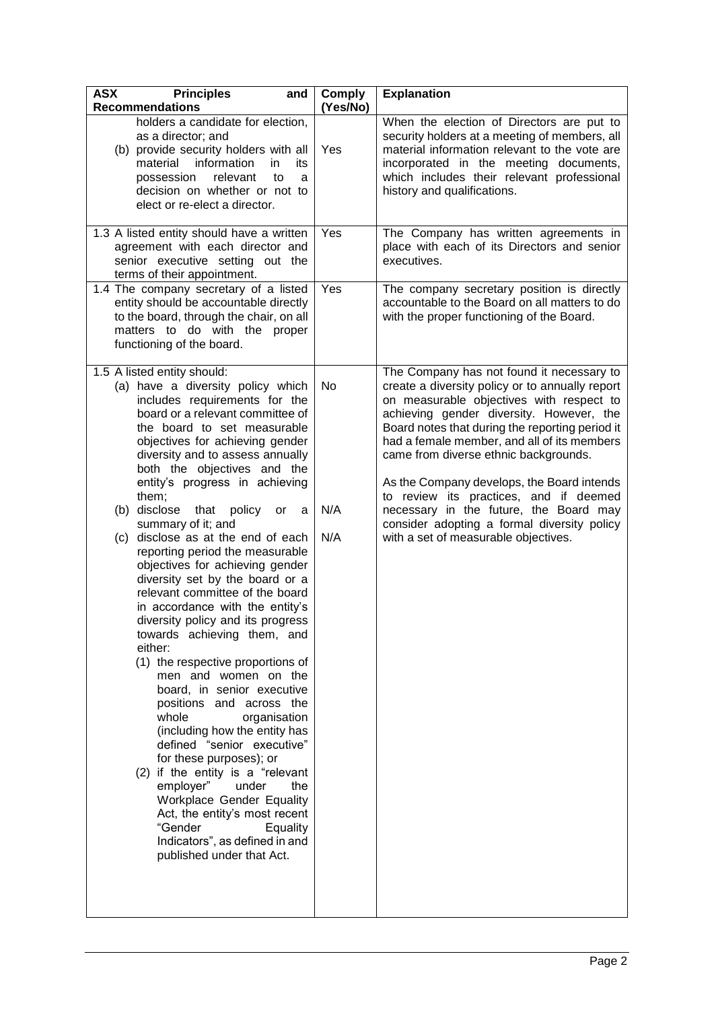| <b>ASX</b><br><b>Principles</b><br>and<br><b>Recommendations</b>                                                                                                                                                                                                                                                                                                                                                                                                                                                                                                                                                                                                                                                                                                                                                                                                                                                                                                                                                                                                                                                                                            | <b>Comply</b><br>(Yes/No) | <b>Explanation</b>                                                                                                                                                                                                                                                                                                                                                                                                                                                                                                                                       |
|-------------------------------------------------------------------------------------------------------------------------------------------------------------------------------------------------------------------------------------------------------------------------------------------------------------------------------------------------------------------------------------------------------------------------------------------------------------------------------------------------------------------------------------------------------------------------------------------------------------------------------------------------------------------------------------------------------------------------------------------------------------------------------------------------------------------------------------------------------------------------------------------------------------------------------------------------------------------------------------------------------------------------------------------------------------------------------------------------------------------------------------------------------------|---------------------------|----------------------------------------------------------------------------------------------------------------------------------------------------------------------------------------------------------------------------------------------------------------------------------------------------------------------------------------------------------------------------------------------------------------------------------------------------------------------------------------------------------------------------------------------------------|
| holders a candidate for election,<br>as a director; and<br>(b) provide security holders with all<br>information<br>material<br>in<br>its<br>possession<br>relevant<br>to<br>a<br>decision on whether or not to<br>elect or re-elect a director.                                                                                                                                                                                                                                                                                                                                                                                                                                                                                                                                                                                                                                                                                                                                                                                                                                                                                                             | Yes                       | When the election of Directors are put to<br>security holders at a meeting of members, all<br>material information relevant to the vote are<br>incorporated in the meeting documents,<br>which includes their relevant professional<br>history and qualifications.                                                                                                                                                                                                                                                                                       |
| 1.3 A listed entity should have a written<br>agreement with each director and<br>senior executive setting out the<br>terms of their appointment.                                                                                                                                                                                                                                                                                                                                                                                                                                                                                                                                                                                                                                                                                                                                                                                                                                                                                                                                                                                                            | Yes                       | The Company has written agreements in<br>place with each of its Directors and senior<br>executives.                                                                                                                                                                                                                                                                                                                                                                                                                                                      |
| 1.4 The company secretary of a listed<br>entity should be accountable directly<br>to the board, through the chair, on all<br>matters to do with the proper<br>functioning of the board.                                                                                                                                                                                                                                                                                                                                                                                                                                                                                                                                                                                                                                                                                                                                                                                                                                                                                                                                                                     | Yes                       | The company secretary position is directly<br>accountable to the Board on all matters to do<br>with the proper functioning of the Board.                                                                                                                                                                                                                                                                                                                                                                                                                 |
| 1.5 A listed entity should:<br>(a) have a diversity policy which<br>includes requirements for the<br>board or a relevant committee of<br>the board to set measurable<br>objectives for achieving gender<br>diversity and to assess annually<br>both the objectives and the<br>entity's progress in achieving<br>them;<br>(b) disclose<br>that<br>policy or<br>a<br>summary of it; and<br>disclose as at the end of each<br>(c)<br>reporting period the measurable<br>objectives for achieving gender<br>diversity set by the board or a<br>relevant committee of the board<br>in accordance with the entity's<br>diversity policy and its progress<br>towards achieving them, and<br>either:<br>(1) the respective proportions of<br>men and women on the<br>board, in senior executive<br>positions and across the<br>whole<br>organisation<br>(including how the entity has<br>defined "senior executive"<br>for these purposes); or<br>(2) if the entity is a "relevant<br>employer"<br>under<br>the<br>Workplace Gender Equality<br>Act, the entity's most recent<br>"Gender<br>Equality<br>Indicators", as defined in and<br>published under that Act. | No<br>N/A<br>N/A          | The Company has not found it necessary to<br>create a diversity policy or to annually report<br>on measurable objectives with respect to<br>achieving gender diversity. However, the<br>Board notes that during the reporting period it<br>had a female member, and all of its members<br>came from diverse ethnic backgrounds.<br>As the Company develops, the Board intends<br>to review its practices, and if deemed<br>necessary in the future, the Board may<br>consider adopting a formal diversity policy<br>with a set of measurable objectives. |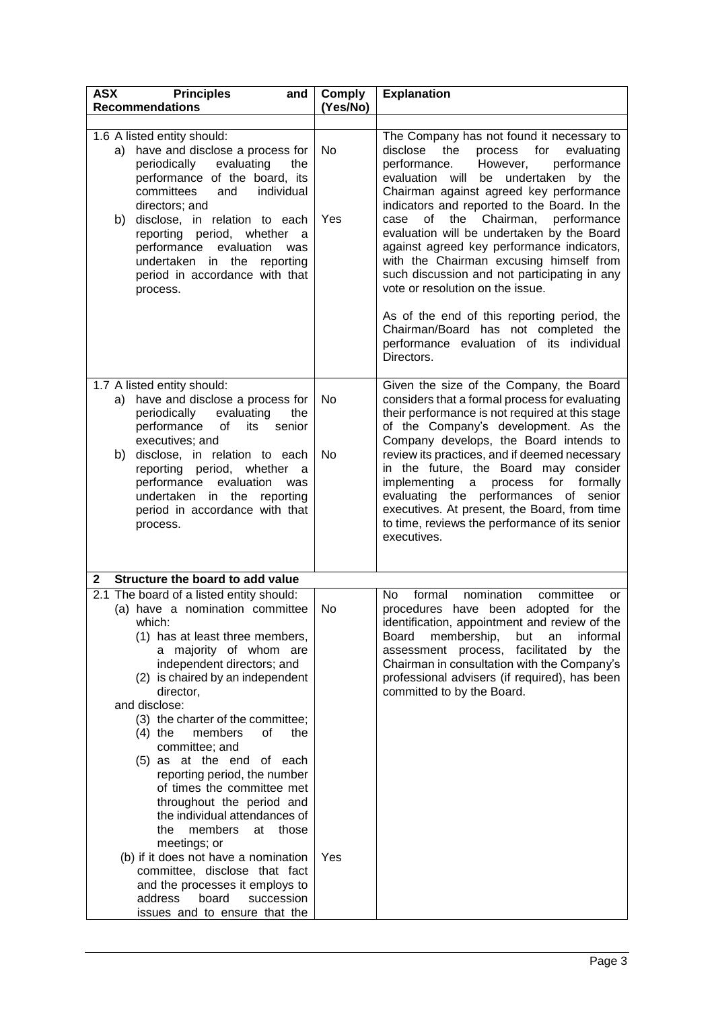| <b>ASX</b><br><b>Principles</b><br>and                                                                                                                                                                                                                                                                                                                                                                                                                                                                                                                                                                                                                                                                                               | <b>Comply</b> | <b>Explanation</b>                                                                                                                                                                                                                                                                                                                                                                                                                                                                                                                                                                                                                                                                                |
|--------------------------------------------------------------------------------------------------------------------------------------------------------------------------------------------------------------------------------------------------------------------------------------------------------------------------------------------------------------------------------------------------------------------------------------------------------------------------------------------------------------------------------------------------------------------------------------------------------------------------------------------------------------------------------------------------------------------------------------|---------------|---------------------------------------------------------------------------------------------------------------------------------------------------------------------------------------------------------------------------------------------------------------------------------------------------------------------------------------------------------------------------------------------------------------------------------------------------------------------------------------------------------------------------------------------------------------------------------------------------------------------------------------------------------------------------------------------------|
| <b>Recommendations</b>                                                                                                                                                                                                                                                                                                                                                                                                                                                                                                                                                                                                                                                                                                               | (Yes/No)      |                                                                                                                                                                                                                                                                                                                                                                                                                                                                                                                                                                                                                                                                                                   |
| 1.6 A listed entity should:<br>have and disclose a process for<br>a)<br>periodically<br>evaluating<br>the<br>performance of the board, its<br>committees<br>individual<br>and<br>directors; and<br>b)<br>disclose, in relation to each<br>reporting period, whether a<br>performance evaluation<br>was<br>undertaken in the reporting<br>period in accordance with that<br>process.                                                                                                                                                                                                                                                                                                                                                  | No.<br>Yes    | The Company has not found it necessary to<br>disclose<br>the<br>process<br>for<br>evaluating<br>performance<br>performance.<br>However,<br>evaluation will<br>be undertaken by the<br>Chairman against agreed key performance<br>indicators and reported to the Board. In the<br>of the Chairman, performance<br>case<br>evaluation will be undertaken by the Board<br>against agreed key performance indicators,<br>with the Chairman excusing himself from<br>such discussion and not participating in any<br>vote or resolution on the issue.<br>As of the end of this reporting period, the<br>Chairman/Board has not completed the<br>performance evaluation of its individual<br>Directors. |
| 1.7 A listed entity should:<br>have and disclose a process for<br>a)<br>periodically evaluating<br>the<br>performance<br>of<br>its<br>senior<br>executives; and<br>disclose, in relation to each<br>b)<br>reporting period, whether<br>- a<br>performance<br>evaluation<br>was<br>undertaken in the reporting<br>period in accordance with that<br>process.                                                                                                                                                                                                                                                                                                                                                                          | No<br>No      | Given the size of the Company, the Board<br>considers that a formal process for evaluating<br>their performance is not required at this stage<br>of the Company's development. As the<br>Company develops, the Board intends to<br>review its practices, and if deemed necessary<br>in the future, the Board may consider<br>implementing<br>process<br>for<br>formally<br>a<br>evaluating the performances of senior<br>executives. At present, the Board, from time<br>to time, reviews the performance of its senior<br>executives.                                                                                                                                                            |
| Structure the board to add value<br>$\mathbf 2$                                                                                                                                                                                                                                                                                                                                                                                                                                                                                                                                                                                                                                                                                      |               |                                                                                                                                                                                                                                                                                                                                                                                                                                                                                                                                                                                                                                                                                                   |
| 2.1 The board of a listed entity should:<br>(a) have a nomination committee<br>which:<br>(1) has at least three members,<br>a majority of whom are<br>independent directors; and<br>(2) is chaired by an independent<br>director,<br>and disclose:<br>(3) the charter of the committee;<br>members<br>0f<br>the<br>$(4)$ the<br>committee; and<br>(5) as at the end of each<br>reporting period, the number<br>of times the committee met<br>throughout the period and<br>the individual attendances of<br>members<br>the<br>at those<br>meetings; or<br>(b) if it does not have a nomination<br>committee, disclose that fact<br>and the processes it employs to<br>address<br>board<br>succession<br>issues and to ensure that the | No<br>Yes     | nomination<br>committee<br>No.<br>formal<br>or<br>procedures have been adopted for the<br>identification, appointment and review of the<br>membership,<br>but<br>informal<br>Board<br>an<br>assessment process, facilitated<br>by the<br>Chairman in consultation with the Company's<br>professional advisers (if required), has been<br>committed to by the Board.                                                                                                                                                                                                                                                                                                                               |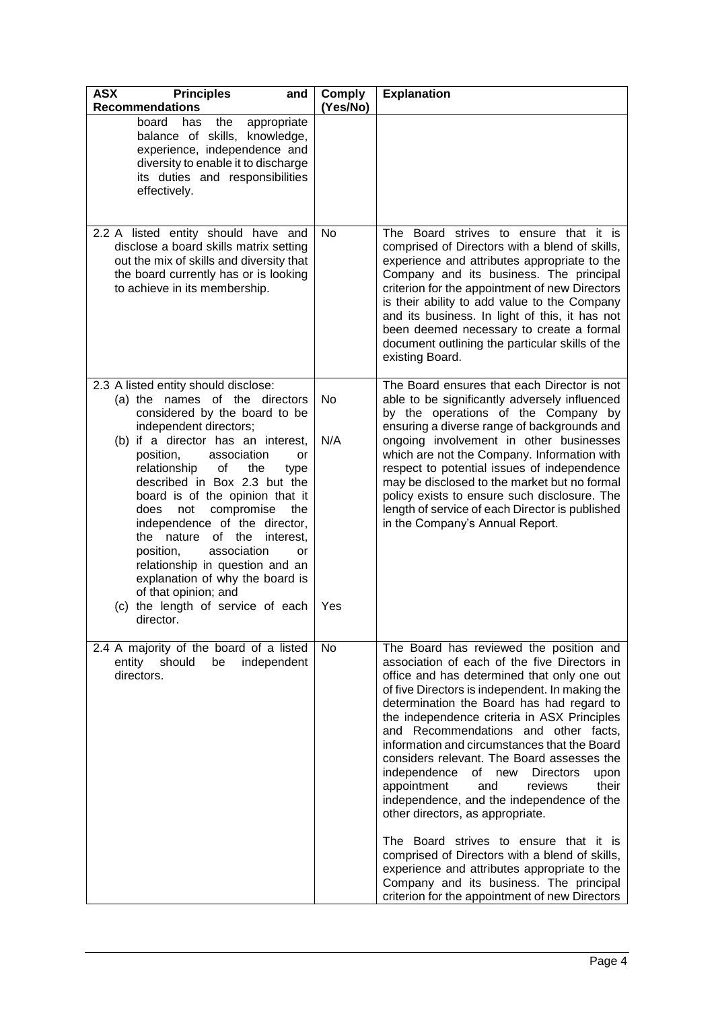| <b>ASX</b><br><b>Principles</b><br>and<br><b>Recommendations</b>                                                                                                                                                                                                                                                                                                                                                                                                                                                                                                                                              | <b>Comply</b><br>(Yes/No) | <b>Explanation</b>                                                                                                                                                                                                                                                                                                                                                                                                                                                                                                                                                                                                                                                                                                                                                                                                                                 |
|---------------------------------------------------------------------------------------------------------------------------------------------------------------------------------------------------------------------------------------------------------------------------------------------------------------------------------------------------------------------------------------------------------------------------------------------------------------------------------------------------------------------------------------------------------------------------------------------------------------|---------------------------|----------------------------------------------------------------------------------------------------------------------------------------------------------------------------------------------------------------------------------------------------------------------------------------------------------------------------------------------------------------------------------------------------------------------------------------------------------------------------------------------------------------------------------------------------------------------------------------------------------------------------------------------------------------------------------------------------------------------------------------------------------------------------------------------------------------------------------------------------|
| board<br>has the<br>appropriate<br>balance of skills, knowledge,<br>experience, independence and<br>diversity to enable it to discharge<br>its duties and responsibilities<br>effectively.                                                                                                                                                                                                                                                                                                                                                                                                                    |                           |                                                                                                                                                                                                                                                                                                                                                                                                                                                                                                                                                                                                                                                                                                                                                                                                                                                    |
| 2.2 A listed entity should have and<br>disclose a board skills matrix setting<br>out the mix of skills and diversity that<br>the board currently has or is looking<br>to achieve in its membership.                                                                                                                                                                                                                                                                                                                                                                                                           | No                        | The Board strives to ensure that it is<br>comprised of Directors with a blend of skills,<br>experience and attributes appropriate to the<br>Company and its business. The principal<br>criterion for the appointment of new Directors<br>is their ability to add value to the Company<br>and its business. In light of this, it has not<br>been deemed necessary to create a formal<br>document outlining the particular skills of the<br>existing Board.                                                                                                                                                                                                                                                                                                                                                                                          |
| 2.3 A listed entity should disclose:<br>(a) the names of the directors<br>considered by the board to be<br>independent directors;<br>(b) if a director has an interest,<br>position,<br>association<br>or<br>relationship<br>of<br>the<br>type<br>described in Box 2.3 but the<br>board is of the opinion that it<br>compromise<br>does<br>not<br>the<br>independence of the director,<br>the nature<br>of the<br>interest.<br>position,<br>association<br>or<br>relationship in question and an<br>explanation of why the board is<br>of that opinion; and<br>(c) the length of service of each<br>director. | No<br>N/A<br>Yes          | The Board ensures that each Director is not<br>able to be significantly adversely influenced<br>by the operations of the Company by<br>ensuring a diverse range of backgrounds and<br>ongoing involvement in other businesses<br>which are not the Company. Information with<br>respect to potential issues of independence<br>may be disclosed to the market but no formal<br>policy exists to ensure such disclosure. The<br>length of service of each Director is published<br>in the Company's Annual Report.                                                                                                                                                                                                                                                                                                                                  |
| 2.4 A majority of the board of a listed<br>entity should<br>be<br>independent<br>directors.                                                                                                                                                                                                                                                                                                                                                                                                                                                                                                                   | No                        | The Board has reviewed the position and<br>association of each of the five Directors in<br>office and has determined that only one out<br>of five Directors is independent. In making the<br>determination the Board has had regard to<br>the independence criteria in ASX Principles<br>and Recommendations and other facts,<br>information and circumstances that the Board<br>considers relevant. The Board assesses the<br>independence of new<br><b>Directors</b><br>upon<br>their<br>appointment<br>and<br>reviews<br>independence, and the independence of the<br>other directors, as appropriate.<br>The Board strives to ensure that it is<br>comprised of Directors with a blend of skills,<br>experience and attributes appropriate to the<br>Company and its business. The principal<br>criterion for the appointment of new Directors |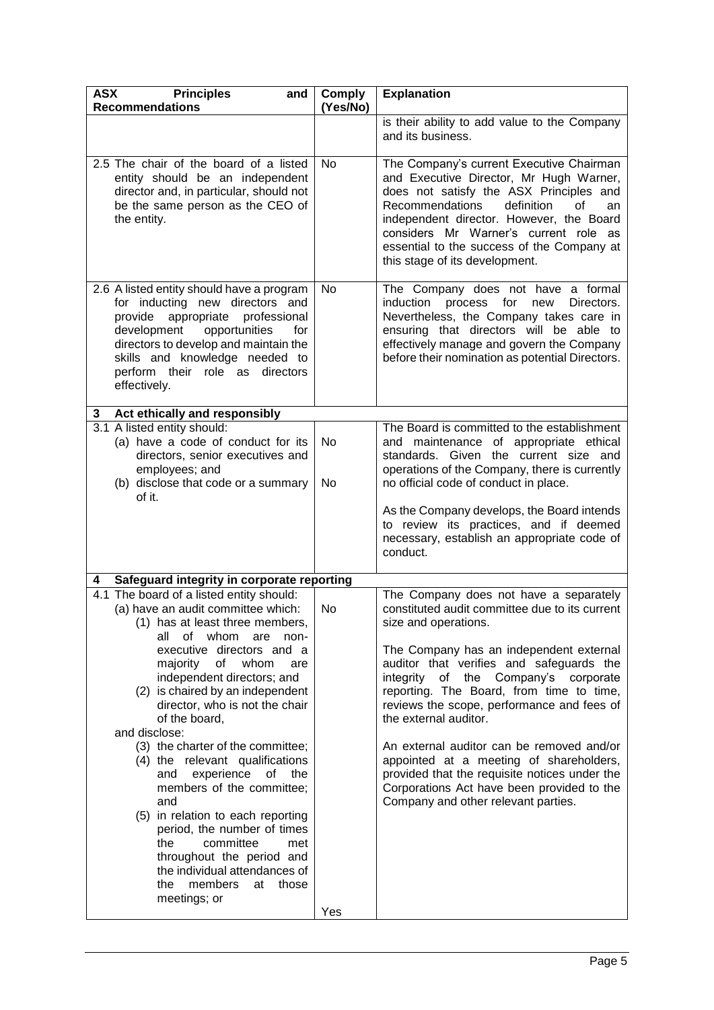| <b>ASX</b><br><b>Principles</b><br>and<br><b>Recommendations</b>                                                                                                                                                                                                                         | <b>Comply</b><br>(Yes/No) | <b>Explanation</b>                                                                                                                                                                                                                                                                                                                                      |
|------------------------------------------------------------------------------------------------------------------------------------------------------------------------------------------------------------------------------------------------------------------------------------------|---------------------------|---------------------------------------------------------------------------------------------------------------------------------------------------------------------------------------------------------------------------------------------------------------------------------------------------------------------------------------------------------|
|                                                                                                                                                                                                                                                                                          |                           | is their ability to add value to the Company<br>and its business.                                                                                                                                                                                                                                                                                       |
| 2.5 The chair of the board of a listed<br>entity should be an independent<br>director and, in particular, should not<br>be the same person as the CEO of<br>the entity.                                                                                                                  | No                        | The Company's current Executive Chairman<br>and Executive Director, Mr Hugh Warner,<br>does not satisfy the ASX Principles and<br><b>Recommendations</b><br>definition<br>οf<br>an<br>independent director. However, the Board<br>considers Mr Warner's current role as<br>essential to the success of the Company at<br>this stage of its development. |
| 2.6 A listed entity should have a program<br>for inducting new directors and<br>provide appropriate<br>professional<br>development<br>opportunities<br>for<br>directors to develop and maintain the<br>skills and knowledge needed to<br>perform their role as directors<br>effectively. | No                        | The Company does not have a formal<br>induction<br>process<br>for<br>Directors.<br>new<br>Nevertheless, the Company takes care in<br>ensuring that directors will be able to<br>effectively manage and govern the Company<br>before their nomination as potential Directors.                                                                            |
| Act ethically and responsibly<br>3                                                                                                                                                                                                                                                       |                           |                                                                                                                                                                                                                                                                                                                                                         |
| 3.1 A listed entity should:<br>(a) have a code of conduct for its<br>directors, senior executives and<br>employees; and<br>(b) disclose that code or a summary<br>of it.                                                                                                                 | No<br>No.                 | The Board is committed to the establishment<br>and maintenance of appropriate ethical<br>standards. Given the current size and<br>operations of the Company, there is currently<br>no official code of conduct in place.                                                                                                                                |
|                                                                                                                                                                                                                                                                                          |                           | As the Company develops, the Board intends<br>to review its practices, and if deemed<br>necessary, establish an appropriate code of<br>conduct.                                                                                                                                                                                                         |
| Safeguard integrity in corporate reporting<br>4                                                                                                                                                                                                                                          |                           |                                                                                                                                                                                                                                                                                                                                                         |
| 4.1 The board of a listed entity should:<br>(a) have an audit committee which:<br>(1) has at least three members,<br>all of whom are<br>-non                                                                                                                                             | No                        | The Company does not have a separately<br>constituted audit committee due to its current<br>size and operations.                                                                                                                                                                                                                                        |
| executive directors and a<br>majority of whom<br>are<br>independent directors; and<br>(2) is chaired by an independent<br>director, who is not the chair<br>of the board,<br>and disclose:                                                                                               |                           | The Company has an independent external<br>auditor that verifies and safeguards the<br>integrity of the Company's corporate<br>reporting. The Board, from time to time,<br>reviews the scope, performance and fees of<br>the external auditor.                                                                                                          |
| (3) the charter of the committee;<br>(4) the relevant qualifications<br>experience of the<br>and<br>members of the committee;<br>and<br>(5) in relation to each reporting<br>period, the number of times<br>committee<br>the<br>met                                                      |                           | An external auditor can be removed and/or<br>appointed at a meeting of shareholders,<br>provided that the requisite notices under the<br>Corporations Act have been provided to the<br>Company and other relevant parties.                                                                                                                              |
| throughout the period and<br>the individual attendances of<br>members<br>those<br>the<br>at<br>meetings; or                                                                                                                                                                              |                           |                                                                                                                                                                                                                                                                                                                                                         |
|                                                                                                                                                                                                                                                                                          | Yes                       |                                                                                                                                                                                                                                                                                                                                                         |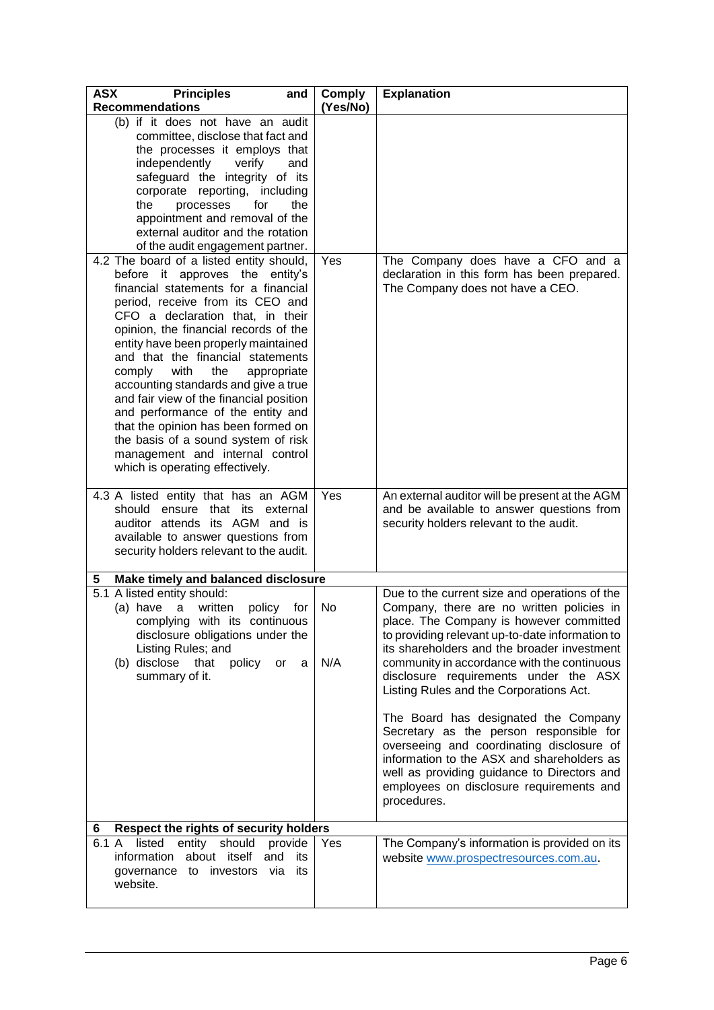| <b>ASX</b><br><b>Principles</b><br>and<br><b>Recommendations</b>                                                                                                                                                                                                                                                                                                                                                                                                                                                                                                                                                                      | Comply<br>(Yes/No) | <b>Explanation</b>                                                                                                                                                                                                                                                                                                                                                                                                                                                                                                                                                                                                                                                 |
|---------------------------------------------------------------------------------------------------------------------------------------------------------------------------------------------------------------------------------------------------------------------------------------------------------------------------------------------------------------------------------------------------------------------------------------------------------------------------------------------------------------------------------------------------------------------------------------------------------------------------------------|--------------------|--------------------------------------------------------------------------------------------------------------------------------------------------------------------------------------------------------------------------------------------------------------------------------------------------------------------------------------------------------------------------------------------------------------------------------------------------------------------------------------------------------------------------------------------------------------------------------------------------------------------------------------------------------------------|
| (b) if it does not have an audit<br>committee, disclose that fact and<br>the processes it employs that<br>independently<br>verify<br>and<br>safeguard the integrity of its<br>corporate reporting, including<br>processes<br>the<br>the<br>for<br>appointment and removal of the<br>external auditor and the rotation<br>of the audit engagement partner.                                                                                                                                                                                                                                                                             |                    |                                                                                                                                                                                                                                                                                                                                                                                                                                                                                                                                                                                                                                                                    |
| 4.2 The board of a listed entity should,<br>before it approves the entity's<br>financial statements for a financial<br>period, receive from its CEO and<br>CFO a declaration that, in their<br>opinion, the financial records of the<br>entity have been properly maintained<br>and that the financial statements<br>comply<br>with<br>the<br>appropriate<br>accounting standards and give a true<br>and fair view of the financial position<br>and performance of the entity and<br>that the opinion has been formed on<br>the basis of a sound system of risk<br>management and internal control<br>which is operating effectively. | Yes                | The Company does have a CFO and a<br>declaration in this form has been prepared.<br>The Company does not have a CEO.                                                                                                                                                                                                                                                                                                                                                                                                                                                                                                                                               |
| 4.3 A listed entity that has an AGM<br>should ensure that its external<br>auditor attends its AGM and is<br>available to answer questions from<br>security holders relevant to the audit.                                                                                                                                                                                                                                                                                                                                                                                                                                             | Yes                | An external auditor will be present at the AGM<br>and be available to answer questions from<br>security holders relevant to the audit.                                                                                                                                                                                                                                                                                                                                                                                                                                                                                                                             |
| Make timely and balanced disclosure<br>5                                                                                                                                                                                                                                                                                                                                                                                                                                                                                                                                                                                              |                    |                                                                                                                                                                                                                                                                                                                                                                                                                                                                                                                                                                                                                                                                    |
| 5.1 A listed entity should:<br>(a) have a written<br>policy<br>for<br>complying with its continuous<br>disclosure obligations under the<br>Listing Rules; and<br>(b) disclose that<br>policy<br>or<br>a<br>summary of it.                                                                                                                                                                                                                                                                                                                                                                                                             | No<br>N/A          | Due to the current size and operations of the<br>Company, there are no written policies in<br>place. The Company is however committed<br>to providing relevant up-to-date information to<br>its shareholders and the broader investment<br>community in accordance with the continuous<br>disclosure requirements under the ASX<br>Listing Rules and the Corporations Act.<br>The Board has designated the Company<br>Secretary as the person responsible for<br>overseeing and coordinating disclosure of<br>information to the ASX and shareholders as<br>well as providing guidance to Directors and<br>employees on disclosure requirements and<br>procedures. |
| Respect the rights of security holders<br>6                                                                                                                                                                                                                                                                                                                                                                                                                                                                                                                                                                                           |                    |                                                                                                                                                                                                                                                                                                                                                                                                                                                                                                                                                                                                                                                                    |
| 6.1 A<br>entity should<br>listed<br>provide<br>information<br>about itself<br>and<br>its<br>investors<br>via<br>governance<br>its<br>to<br>website.                                                                                                                                                                                                                                                                                                                                                                                                                                                                                   | Yes                | The Company's information is provided on its<br>website www.prospectresources.com.au.                                                                                                                                                                                                                                                                                                                                                                                                                                                                                                                                                                              |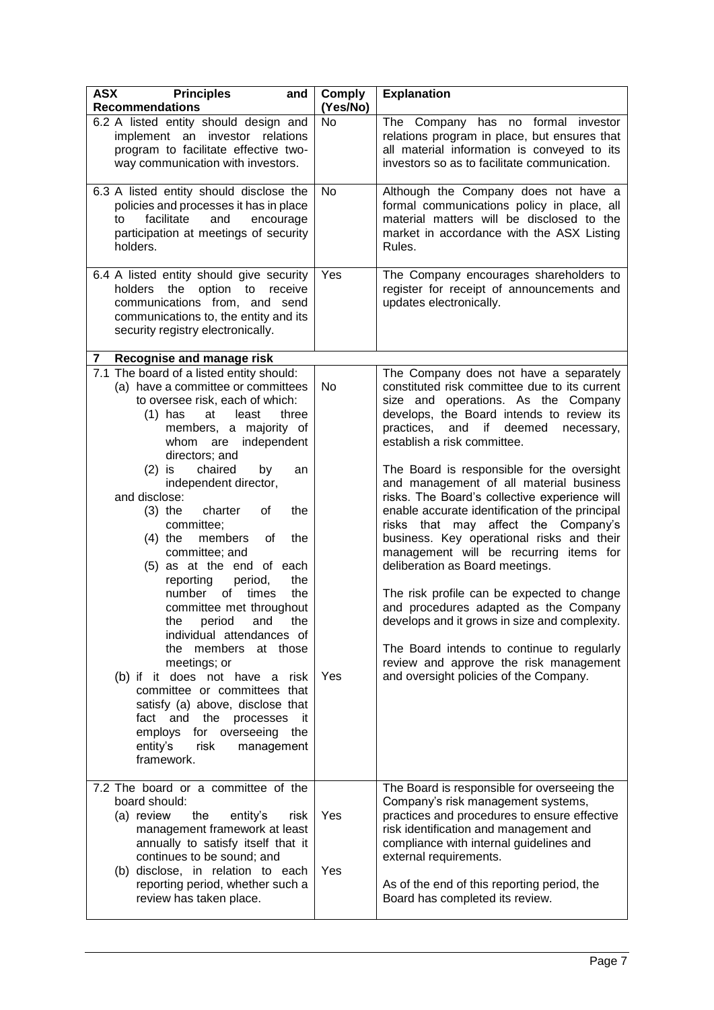| <b>ASX</b><br><b>Principles</b><br>and<br><b>Recommendations</b>                                                                                                                                                                                                                                                                                                                                                                                                                                                                                                                                                                                                                                                                                                                                                                                             | <b>Comply</b><br>(Yes/No) | <b>Explanation</b>                                                                                                                                                                                                                                                                                                                                                                                                                                                                                                                                                                                                                                                                                                                                                                                                                                                                              |
|--------------------------------------------------------------------------------------------------------------------------------------------------------------------------------------------------------------------------------------------------------------------------------------------------------------------------------------------------------------------------------------------------------------------------------------------------------------------------------------------------------------------------------------------------------------------------------------------------------------------------------------------------------------------------------------------------------------------------------------------------------------------------------------------------------------------------------------------------------------|---------------------------|-------------------------------------------------------------------------------------------------------------------------------------------------------------------------------------------------------------------------------------------------------------------------------------------------------------------------------------------------------------------------------------------------------------------------------------------------------------------------------------------------------------------------------------------------------------------------------------------------------------------------------------------------------------------------------------------------------------------------------------------------------------------------------------------------------------------------------------------------------------------------------------------------|
| 6.2 A listed entity should design and<br>implement an investor relations<br>program to facilitate effective two-<br>way communication with investors.                                                                                                                                                                                                                                                                                                                                                                                                                                                                                                                                                                                                                                                                                                        | No                        | The Company has no formal investor<br>relations program in place, but ensures that<br>all material information is conveyed to its<br>investors so as to facilitate communication.                                                                                                                                                                                                                                                                                                                                                                                                                                                                                                                                                                                                                                                                                                               |
| 6.3 A listed entity should disclose the<br>policies and processes it has in place<br>facilitate<br>and<br>to<br>encourage<br>participation at meetings of security<br>holders.                                                                                                                                                                                                                                                                                                                                                                                                                                                                                                                                                                                                                                                                               | No                        | Although the Company does not have a<br>formal communications policy in place, all<br>material matters will be disclosed to the<br>market in accordance with the ASX Listing<br>Rules.                                                                                                                                                                                                                                                                                                                                                                                                                                                                                                                                                                                                                                                                                                          |
| 6.4 A listed entity should give security<br>holders the option to<br>receive<br>communications from, and send<br>communications to, the entity and its<br>security registry electronically.                                                                                                                                                                                                                                                                                                                                                                                                                                                                                                                                                                                                                                                                  | Yes                       | The Company encourages shareholders to<br>register for receipt of announcements and<br>updates electronically.                                                                                                                                                                                                                                                                                                                                                                                                                                                                                                                                                                                                                                                                                                                                                                                  |
| Recognise and manage risk<br>7                                                                                                                                                                                                                                                                                                                                                                                                                                                                                                                                                                                                                                                                                                                                                                                                                               |                           |                                                                                                                                                                                                                                                                                                                                                                                                                                                                                                                                                                                                                                                                                                                                                                                                                                                                                                 |
| 7.1 The board of a listed entity should:<br>(a) have a committee or committees<br>to oversee risk, each of which:<br>least<br>three<br>$(1)$ has<br>at<br>members, a majority of<br>whom are independent<br>directors; and<br>chaired<br>$(2)$ is<br>by<br>an<br>independent director,<br>and disclose:<br>charter<br>the<br>$(3)$ the<br>оf<br>committee;<br>members<br>$(4)$ the<br>0f<br>the<br>committee; and<br>(5) as at the end of each<br>reporting<br>period,<br>the<br>number<br>of times<br>the<br>committee met throughout<br>the period and the<br>individual attendances of<br>the members at those<br>meetings; or<br>(b) if it does not have a risk<br>committee or committees that<br>satisfy (a) above, disclose that<br>fact and the<br>processes<br>-it<br>employs<br>for overseeing the<br>entity's<br>risk<br>management<br>framework. | No<br>Yes                 | The Company does not have a separately<br>constituted risk committee due to its current<br>size and operations. As the Company<br>develops, the Board intends to review its<br>and if deemed<br>practices,<br>necessary,<br>establish a risk committee.<br>The Board is responsible for the oversight<br>and management of all material business<br>risks. The Board's collective experience will<br>enable accurate identification of the principal<br>risks that may affect the Company's<br>business. Key operational risks and their<br>management will be recurring items for<br>deliberation as Board meetings.<br>The risk profile can be expected to change<br>and procedures adapted as the Company<br>develops and it grows in size and complexity.<br>The Board intends to continue to regularly<br>review and approve the risk management<br>and oversight policies of the Company. |
| 7.2 The board or a committee of the<br>board should:<br>the<br>(a) review<br>entity's<br>risk<br>management framework at least<br>annually to satisfy itself that it<br>continues to be sound; and<br>(b) disclose, in relation to each<br>reporting period, whether such a<br>review has taken place.                                                                                                                                                                                                                                                                                                                                                                                                                                                                                                                                                       | Yes<br>Yes                | The Board is responsible for overseeing the<br>Company's risk management systems,<br>practices and procedures to ensure effective<br>risk identification and management and<br>compliance with internal guidelines and<br>external requirements.<br>As of the end of this reporting period, the<br>Board has completed its review.                                                                                                                                                                                                                                                                                                                                                                                                                                                                                                                                                              |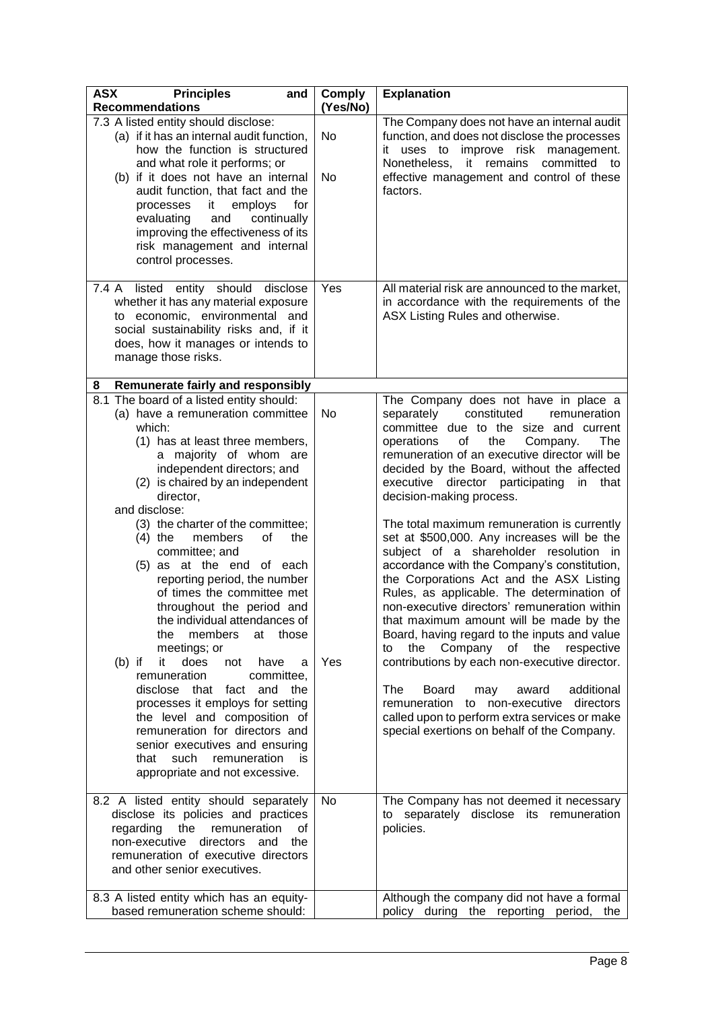| <b>ASX</b><br><b>Principles</b><br>and<br><b>Recommendations</b>                                                                                                                                                                                                                                                                                                                                                                                                                                                                                                                                                                                                                                                                                                                                                                | <b>Comply</b><br>(Yes/No) | <b>Explanation</b>                                                                                                                                                                                                                                                                                                                                                                                                                                                                                                                                                                                                                                                                                                                                                                                                                                                                                                                                                                                                               |
|---------------------------------------------------------------------------------------------------------------------------------------------------------------------------------------------------------------------------------------------------------------------------------------------------------------------------------------------------------------------------------------------------------------------------------------------------------------------------------------------------------------------------------------------------------------------------------------------------------------------------------------------------------------------------------------------------------------------------------------------------------------------------------------------------------------------------------|---------------------------|----------------------------------------------------------------------------------------------------------------------------------------------------------------------------------------------------------------------------------------------------------------------------------------------------------------------------------------------------------------------------------------------------------------------------------------------------------------------------------------------------------------------------------------------------------------------------------------------------------------------------------------------------------------------------------------------------------------------------------------------------------------------------------------------------------------------------------------------------------------------------------------------------------------------------------------------------------------------------------------------------------------------------------|
| 7.3 A listed entity should disclose:<br>(a) if it has an internal audit function,<br>how the function is structured<br>and what role it performs; or<br>(b) if it does not have an internal<br>audit function, that fact and the<br>processes<br>it<br>employs<br>for<br>evaluating<br>and<br>continually<br>improving the effectiveness of its<br>risk management and internal<br>control processes.                                                                                                                                                                                                                                                                                                                                                                                                                           | No<br>No                  | The Company does not have an internal audit<br>function, and does not disclose the processes<br>it uses to<br>improve risk<br>management.<br>Nonetheless,<br>it remains<br>committed to<br>effective management and control of these<br>factors.                                                                                                                                                                                                                                                                                                                                                                                                                                                                                                                                                                                                                                                                                                                                                                                 |
| should<br>disclose<br>listed<br>entity<br>7.4 A<br>whether it has any material exposure<br>to economic, environmental and<br>social sustainability risks and, if it<br>does, how it manages or intends to<br>manage those risks.                                                                                                                                                                                                                                                                                                                                                                                                                                                                                                                                                                                                | Yes                       | All material risk are announced to the market,<br>in accordance with the requirements of the<br>ASX Listing Rules and otherwise.                                                                                                                                                                                                                                                                                                                                                                                                                                                                                                                                                                                                                                                                                                                                                                                                                                                                                                 |
| Remunerate fairly and responsibly<br>8<br>8.1 The board of a listed entity should:                                                                                                                                                                                                                                                                                                                                                                                                                                                                                                                                                                                                                                                                                                                                              |                           | The Company does not have in place a                                                                                                                                                                                                                                                                                                                                                                                                                                                                                                                                                                                                                                                                                                                                                                                                                                                                                                                                                                                             |
| (a) have a remuneration committee<br>which:<br>(1) has at least three members,<br>a majority of whom are<br>independent directors; and<br>(2) is chaired by an independent<br>director,<br>and disclose:<br>(3) the charter of the committee;<br>$(4)$ the<br>members<br>οf<br>the<br>committee; and<br>(5) as at the end of each<br>reporting period, the number<br>of times the committee met<br>throughout the period and<br>the individual attendances of<br>the members<br>at those<br>meetings; or<br>$(b)$ if<br>it<br>does<br>not<br>have<br>a<br>remuneration<br>committee,<br>and the<br>disclose that fact<br>processes it employs for setting<br>the level and composition of<br>remuneration for directors and<br>senior executives and ensuring<br>that such remuneration<br>is<br>appropriate and not excessive. | No<br>Yes                 | constituted<br>separately<br>remuneration<br>committee due to the size and current<br>of<br>the<br>operations<br>Company.<br>The<br>remuneration of an executive director will be<br>decided by the Board, without the affected<br>executive director participating<br>in<br>that<br>decision-making process.<br>The total maximum remuneration is currently<br>set at \$500,000. Any increases will be the<br>subject of a shareholder resolution in<br>accordance with the Company's constitution,<br>the Corporations Act and the ASX Listing<br>Rules, as applicable. The determination of<br>non-executive directors' remuneration within<br>that maximum amount will be made by the<br>Board, having regard to the inputs and value<br>the respective<br>the Company of<br>to<br>contributions by each non-executive director.<br>The<br>additional<br>Board<br>may<br>award<br>remuneration to non-executive<br>directors<br>called upon to perform extra services or make<br>special exertions on behalf of the Company. |
| 8.2 A listed entity should separately<br>disclose its policies and practices<br>the<br>regarding<br>remuneration<br>οf<br>non-executive<br>directors<br>and<br>the<br>remuneration of executive directors<br>and other senior executives.                                                                                                                                                                                                                                                                                                                                                                                                                                                                                                                                                                                       | No                        | The Company has not deemed it necessary<br>to separately disclose its remuneration<br>policies.                                                                                                                                                                                                                                                                                                                                                                                                                                                                                                                                                                                                                                                                                                                                                                                                                                                                                                                                  |
| 8.3 A listed entity which has an equity-<br>based remuneration scheme should:                                                                                                                                                                                                                                                                                                                                                                                                                                                                                                                                                                                                                                                                                                                                                   |                           | Although the company did not have a formal<br>policy during the reporting period,<br>the                                                                                                                                                                                                                                                                                                                                                                                                                                                                                                                                                                                                                                                                                                                                                                                                                                                                                                                                         |